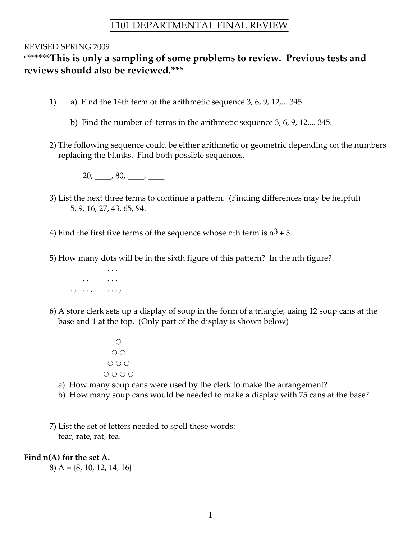# T101 DEPARTMENTAL FINAL REVIEW

### REVISED SPRING 2009

## \*\*\*\*\*\*\***This is only a sampling of some problems to review. Previous tests and reviews should also be reviewed.\*\*\***

- 1) a) Find the 14th term of the arithmetic sequence 3, 6, 9, 12,... 345.
	- b) Find the number of terms in the arithmetic sequence 3, 6, 9, 12,... 345.
- 2) The following sequence could be either arithmetic or geometric depending on the numbers replacing the blanks. Find both possible sequences.

 $20, \_\_\_\_$  80,  $\_\_\_\_\_\_\_\_\_$ 

- 3) List the next three terms to continue a pattern. (Finding differences may be helpful) 5, 9, 16, 27, 43, 65, 94.
- 4) Find the first five terms of the sequence whose nth term is  $n^3 + 5$ .
- 5) How many dots will be in the sixth figure of this pattern? In the nth figure?



- 6) A store clerk sets up a display of soup in the form of a triangle, using 12 soup cans at the base and 1 at the top. (Only part of the display is shown below)
	- $O O$  $O O O$ ○ ○ ○ ○
	- a) How many soup cans were used by the clerk to make the arrangement?
	- b) How many soup cans would be needed to make a display with 75 cans at the base?
- 7) List the set of letters needed to spell these words: tear, rate, rat, tea.

### **Find n(A) for the set A.**

8) A = {8, 10, 12, 14, 16}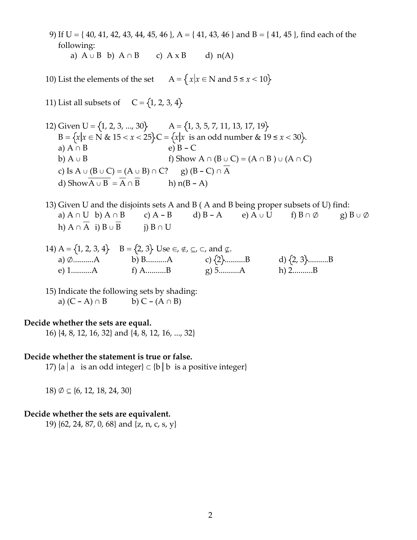9) If U = { 40, 41, 42, 43, 44, 45, 46 }, A = { 41, 43, 46 } and B = { 41, 45 }, find each of the following: a)  $A \cup B$  b)  $A \cap B$  c)  $A \times B$  d)  $n(A)$ 

10) List the elements of the set  $A = \{x | x \in N \text{ and } 5 \le x < 10\}$ 

11) List all subsets of  $C = \{1, 2, 3, 4\}$ 

- 12) Given  $U = \{1, 2, 3, ..., 30\}$   $A = \{1, 3, 5, 7, 11, 13, 17, 19\}$ B =  $\{x | x \in N \& 15 < x < 25\}$ C =  $\{x | x \text{ is an odd number} \& 19 \le x < 30\}$ . a)  $A \cap B$  e)  $B - C$ b) A ∪ B f) Show A ∩ (B ∪ C) = (A ∩ B ) ∪ (A ∩ C) c) Is  $A \cup (B \cup C) = (A \cup B) \cap C$ ? g)  $(B - C) \cap \overline{A}$ d) Show $\overline{A \cup B} = \overline{A} \cap \overline{B}$  h) n(B - A)
- 13) Given U and the disjoints sets A and B ( A and B being proper subsets of U) find: a)  $A \cap U$  b)  $A \cap B$  c)  $A - B$  d)  $B - A$  e)  $A \cup U$  f)  $B \cap \emptyset$  g)  $B \cup \emptyset$ h)  $A \cap \overline{A}$  i)  $B \cup \overline{B}$  j)  $B \cap U$
- 14) A = {1, 2, 3, 4} B = {2, 3} Use  $\in$ ,  $\notin$ ,  $\subseteq$ ,  $\subseteq$ ,  $\subseteq$ , and  $\notin$ .<br>
a) Ø..........A b) B..........A c) {2}....<br>
e) 1..........A f) A .... R c) 5 a) Ø.........A b) B..........A c)  $\{2\}$ .........B d)  $\{2, 3\}$ .........B e) 1..........A f) A..........B g) 5..........A h) 2..........B

15) Indicate the following sets by shading: a)  $(C - A) \cap B$  b)  $C - (A \cap B)$ 

### **Decide whether the sets are equal.**

16) {4, 8, 12, 16, 32} and {4, 8, 12, 16, ..., 32}

#### **Decide whether the statement is true or false.**

17) {a | a is an odd integer}  $\subset$  {b | b is a positive integer}

18) ∅ ⊆ {6, 12, 18, 24, 30}

### **Decide whether the sets are equivalent.**

19) {62, 24, 87, 0, 68} and {z, n, c, s, y}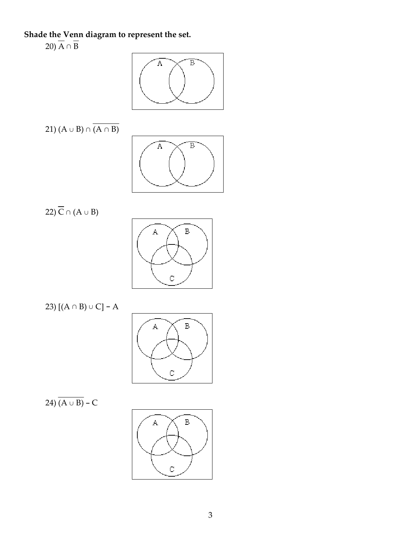# **Shade the Venn diagram to represent the set.**

20)  $\overline{A} \cap \overline{B}$ 



$$
21) (A \cup B) \cap \overline{(A \cap B)}
$$



22)  $\overline{C} \cap (A \cup B)$ 



23)  $[(A ∩ B) ∪ C] - A$ 



24)  $\overline{(A \cup B)}$  – C

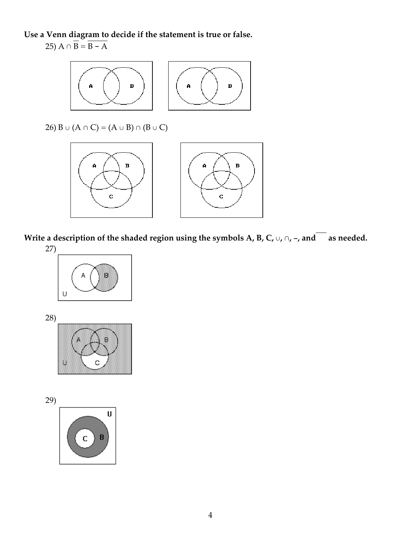**Use a Venn diagram to decide if the statement is true or false.** 25)  $A \cap \overline{B} = \overline{B - A}$ 



Write a description of the shaded region using the symbols A, B, C,  $\cup$ ,  $\cap$ , -, and as needed.



28)



29)

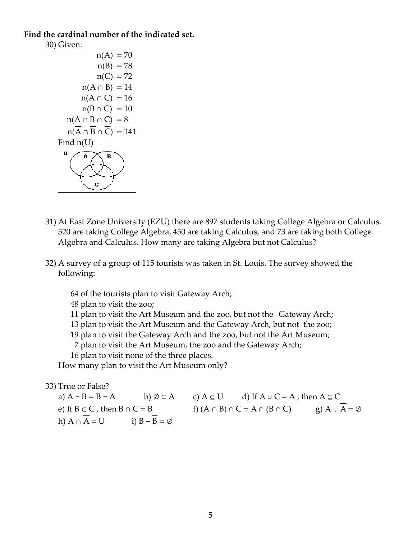### **Find the cardinal number of the indicated set.**

30) Given:  $n(A) = 70$  $n(B) = 78$  $n(C) = 72$  $n(A \cap B) = 14$  $n(A \cap C) = 16$  $n(B \cap C) = 10$  $n(A \cap B \cap C) = 8$  $n(A \cap B \cap C) = 141$ Find n(U) U  $\overline{\mathbf{B}}$  $\ddot{\mathbf{c}}$ 

- 31) At East Zone University (EZU) there are 897 students taking College Algebra or Calculus. 520 are taking College Algebra, 450 are taking Calculus, and 73 are taking both College Algebra and Calculus. How many are taking Algebra but not Calculus?
- 32) A survey of a group of 115 tourists was taken in St. Louis. The survey showed the following:

64 of the tourists plan to visit Gateway Arch;

48 plan to visit the zoo;

- 11 plan to visit the Art Museum and the zoo, but not the Gateway Arch;
- 13 plan to visit the Art Museum and the Gateway Arch, but not the zoo;
- 19 plan to visit the Gateway Arch and the zoo, but not the Art Museum;

7 plan to visit the Art Museum, the zoo and the Gateway Arch;

16 plan to visit none of the three places.

How many plan to visit the Art Museum only?

33) True or False?

a)  $A - B = B - A$  b)  $\emptyset \subset A$  c)  $A \subseteq U$  d) If  $A \cup C = A$ , then  $A \subseteq C$ e) If  $B \subset C$ , then  $B \cap C = B$  f)  $(A \cap B) \cap C = A \cap (B \cap C)$  g)  $A \cup \overline{A} = \emptyset$ h)  $A \cap \overline{A} = U$  i)  $B - \overline{B} = \emptyset$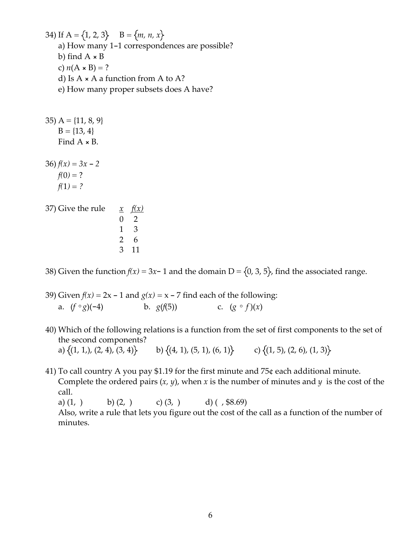34) If  $A = \{1, 2, 3\}$  B =  $\{m, n, x\}$ a) How many 1-1 correspondences are possible? b) find  $A \times B$ c)  $n(A \times B) = ?$ d) Is  $A \times A$  a function from A to A? e) How many proper subsets does A have?

35)  $A = \{11, 8, 9\}$  $B = \{13, 4\}$ Find A × B. 36)  $f(x) = 3x - 2$  $f(0) = ?$  $f(1) = ?$ 37) Give the rule  $\frac{x}{f(x)}$ 0 2 1 3 2 6

38) Given the function  $f(x) = 3x - 1$  and the domain D = {0, 3, 5}, find the associated range.

39) Given  $f(x) = 2x - 1$  and  $g(x) = x - 7$  find each of the following: a. (*f* ∘*g*)(-4) b. *g*(*f*(5)) c. (*g* ∘ *f* )(*x*)

3 11

- 40) Which of the following relations is a function from the set of first components to the set of the second components? a)  $\{(1, 1), (2, 4), (3, 4)\}$  b)  $\{(4, 1), (5, 1), (6, 1)\}$  c)  $\{(1, 5), (2, 6), (1, 3)\}$
- 41) To call country A you pay \$1.19 for the first minute and 75¢ each additional minute. Complete the ordered pairs  $(x, y)$ , when  $x$  is the number of minutes and  $y$  is the cost of the call. a) (1, ) b) (2, ) c) (3, ) d) (,  $$8.69$ ) Also, write a rule that lets you figure out the cost of the call as a function of the number of

minutes.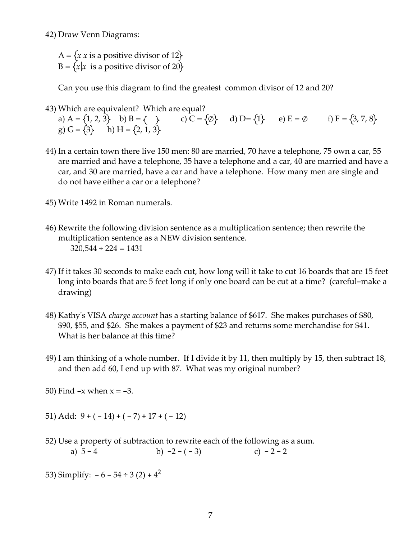42) Draw Venn Diagrams:

 $A = \{x \mid x$  is a positive divisor of 12 $\}$  $B = \{x | x$  is a positive divisor of 20}

Can you use this diagram to find the greatest common divisor of 12 and 20?

43) Which are equivalent? Which are equal? a) A =  $\{1, 2, 3\}$  b) B =  $\{\}$  c) C =  $\{\emptyset\}$  d) D =  $\{1\}$  e) E =  $\emptyset$  f) F =  $\{3, 7, 8\}$ g)  $G = \{3\}$  h)  $H = \{2, 1, 3\}$ 

- 44) In a certain town there live 150 men: 80 are married, 70 have a telephone, 75 own a car, 55 are married and have a telephone, 35 have a telephone and a car, 40 are married and have a car, and 30 are married, have a car and have a telephone. How many men are single and do not have either a car or a telephone?
- 45) Write 1492 in Roman numerals.
- 46) Rewrite the following division sentence as a multiplication sentence; then rewrite the multiplication sentence as a NEW division sentence.  $320,544 \div 224 = 1431$
- 47) If it takes 30 seconds to make each cut, how long will it take to cut 16 boards that are 15 feet long into boards that are 5 feet long if only one board can be cut at a time? (careful-make a drawing)
- 48) Kathyʹs VISA *charge account* has a starting balance of \$617. She makes purchases of \$80, \$90, \$55, and \$26. She makes a payment of \$23 and returns some merchandise for \$41. What is her balance at this time?
- 49) I am thinking of a whole number. If I divide it by 11, then multiply by 15, then subtract 18, and then add 60, I end up with 87. What was my original number?

50) Find  $-x$  when  $x = -3$ .

51) Add:  $9 + (-14) + (-7) + 17 + (-12)$ 

- 52) Use a property of subtraction to rewrite each of the following as a sum. a)  $5 - 4$  b)  $-2 - (-3)$  c)  $-2 - 2$
- 53) Simplify:  $-6 54 \div 3(2) + 4^2$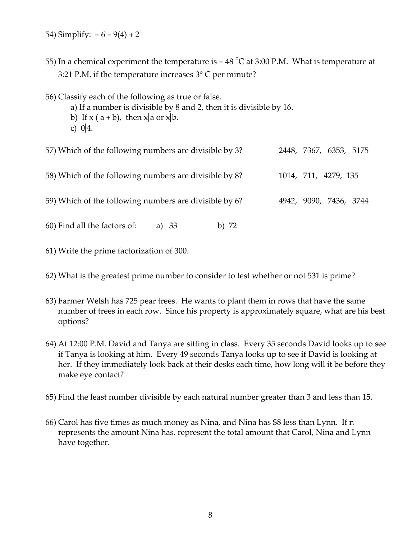- 54) Simplify:  $-6 9(4) + 2$
- 55) In a chemical experiment the temperature is  $-48\text{ °C}$  at 3:00 P.M. What is temperature at 3:21 P.M. if the temperature increases 3° C per minute?
- 56) Classify each of the following as true or false.
	- a) If a number is divisible by 8 and 2, then it is divisible by 16.
	- b) If  $x$  (  $a + b$ ), then  $x$  a or  $x$  b.
	- c)  $0 \, 4$ .

| 57) Which of the following numbers are divisible by 3? |         |  | 2448, 7367, 6353, 5175 |  |
|--------------------------------------------------------|---------|--|------------------------|--|
| 58) Which of the following numbers are divisible by 8? |         |  | 1014, 711, 4279, 135   |  |
| 59) Which of the following numbers are divisible by 6? |         |  | 4942, 9090, 7436, 3744 |  |
| 60) Find all the factors of:<br>a) 33                  | b) $72$ |  |                        |  |

- 61) Write the prime factorization of 300.
- 62) What is the greatest prime number to consider to test whether or not 531 is prime?
- 63) Farmer Welsh has 725 pear trees. He wants to plant them in rows that have the same number of trees in each row. Since his property is approximately square, what are his best options?
- 64) At 12:00 P.M. David and Tanya are sitting in class. Every 35 seconds David looks up to see if Tanya is looking at him. Every 49 seconds Tanya looks up to see if David is looking at her. If they immediately look back at their desks each time, how long will it be before they make eye contact?
- 65) Find the least number divisible by each natural number greater than 3 and less than 15.
- 66) Carol has five times as much money as Nina, and Nina has \$8 less than Lynn. If n represents the amount Nina has, represent the total amount that Carol, Nina and Lynn have together.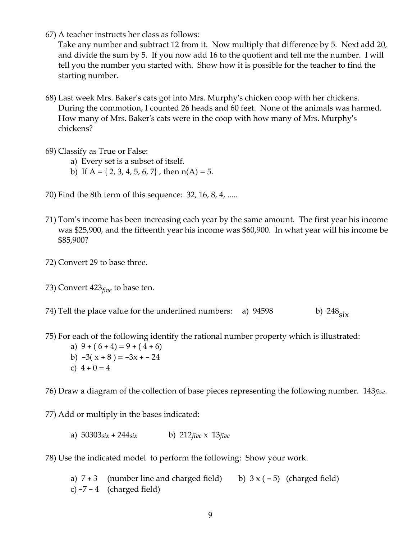67) A teacher instructs her class as follows:

Take any number and subtract 12 from it. Now multiply that difference by 5. Next add 20, and divide the sum by 5. If you now add 16 to the quotient and tell me the number. I will tell you the number you started with. Show how it is possible for the teacher to find the starting number.

- 68) Last week Mrs. Bakerʹs cats got into Mrs. Murphyʹs chicken coop with her chickens. During the commotion, I counted 26 heads and 60 feet. None of the animals was harmed. How many of Mrs. Bakerʹs cats were in the coop with how many of Mrs. Murphyʹs chickens?
- 69) Classify as True or False:
	- a) Every set is a subset of itself.
	- b) If  $A = \{2, 3, 4, 5, 6, 7\}$ , then  $n(A) = 5$ .
- 70) Find the 8th term of this sequence: 32, 16, 8, 4, .....
- 71) Tomʹs income has been increasing each year by the same amount. The first year his income was \$25,900, and the fifteenth year his income was \$60,900. In what year will his income be \$85,900?
- 72) Convert 29 to base three.
- 73) Convert 423*five* to base ten.
- 74) Tell the place value for the underlined numbers: a)  $94598$  b)  $248_{six}$
- 75) For each of the following identify the rational number property which is illustrated:
	- a)  $9 + (6 + 4) = 9 + (4 + 6)$ b)  $-3(x+8) = -3x - 24$ c)  $4 + 0 = 4$

76) Draw a diagram of the collection of base pieces representing the following number. 143*five*.

77) Add or multiply in the bases indicated:

a) 50303*six* + 244*six* b) 212*five* x 13*five*

78) Use the indicated model to perform the following: Show your work.

a)  $7 + 3$  (number line and charged field) b)  $3 \times (-5)$  (charged field) c)  $-7 - 4$  (charged field)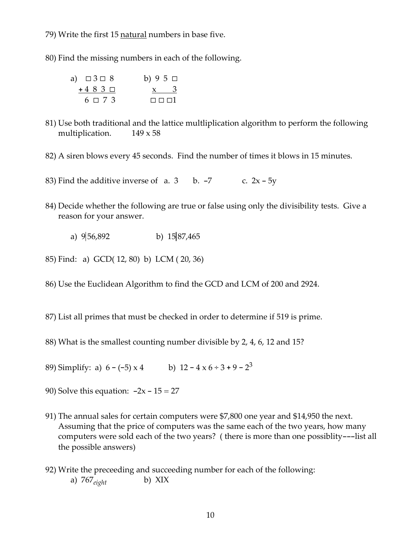79) Write the first 15 natural numbers in base five.

80) Find the missing numbers in each of the following.

| a) $\Box 3 \Box 8$ | b) $95\Box$            |
|--------------------|------------------------|
| $+483\ \square$    | $x \quad 3$            |
| $6 \square 7$ 3    | $\Box$ $\Box$ $\Box$ 1 |

- 81) Use both traditional and the lattice multliplication algorithm to perform the following multiplication.  $149 \times 58$
- 82) A siren blows every 45 seconds. Find the number of times it blows in 15 minutes.

83) Find the additive inverse of a.  $3 \text{ b. } -7$  c.  $2x - 5y$ 

- 84) Decide whether the following are true or false using only the divisibility tests. Give a reason for your answer.
	- a)  $9\vert 56,892$  b)  $15\vert 87,465$
- 85) Find: a) GCD( 12, 80) b) LCM ( 20, 36)
- 86) Use the Euclidean Algorithm to find the GCD and LCM of 200 and 2924.
- 87) List all primes that must be checked in order to determine if 519 is prime.
- 88) What is the smallest counting number divisible by 2, 4, 6, 12 and 15?
- 89) Simplify: a)  $6 (-5) \times 4$  b)  $12 4 \times 6 \div 3 + 9 2^3$
- 90) Solve this equation:  $-2x 15 = 27$
- 91) The annual sales for certain computers were \$7,800 one year and \$14,950 the next. Assuming that the price of computers was the same each of the two years, how many computers were sold each of the two years? ( there is more than one possiblity---list all the possible answers)
- 92) Write the preceeding and succeeding number for each of the following: a) 767*eight* b) XIX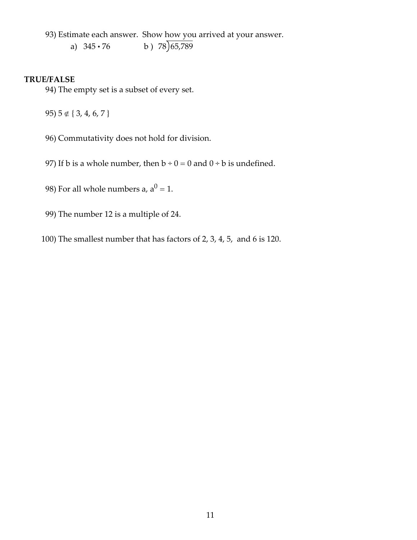93) Estimate each answer. Show how you arrived at your answer.

a)  $345 \cdot 76$  b)  $78 \overline{)65,789}$ 

## **TRUE/FALSE**

94) The empty set is a subset of every set.

95) 5 ∉ { 3, 4, 6, 7 }

96) Commutativity does not hold for division.

97) If b is a whole number, then  $b \div 0 = 0$  and  $0 \div b$  is undefined.

98) For all whole numbers a,  $a^0 = 1$ .

99) The number 12 is a multiple of 24.

100) The smallest number that has factors of 2, 3, 4, 5, and 6 is 120.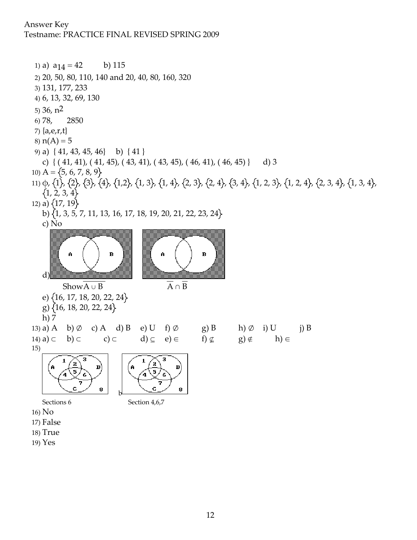## Answer Key

Testname: PRACTICE FINAL REVISED SPRING 2009

1) a)  $a_{14} = 42$  b) 115 2) 20, 50, 80, 110, 140 and 20, 40, 80, 160, 320 3) 131, 177, 233 4) 6, 13, 32, 69, 130 5) 36, n2 6) 78, 2850 7) {a,e,r,t} 8)  $n(A) = 5$ 9) a) { 41, 43, 45, 46} b) { 41 } c)  $\{(41, 41), (41, 45), (43, 41), (43, 45), (46, 41), (46, 45)\}\$ d) 3 10) A =  $\{5, 6, 7, 8, 9\}$ 11) φ, {1}, {2}, {3}, {4}, {1,2}, {1, 3}, {1, 4}, {2, 3}, {2, 4}, {3, 4}, {1, 2, 3}, {1, 2, 4}, {2, 3, 4}, {1, 3, 4},  $\{1, 2, 3, 4\}$ 12) a)  $\{17, 19\}$ b)  $\{1, 3, 5, 7, 11, 13, 16, 17, 18, 19, 20, 21, 22, 23, 24\}$ c) No



- 
- 17) False
- 18) True
- 19) Yes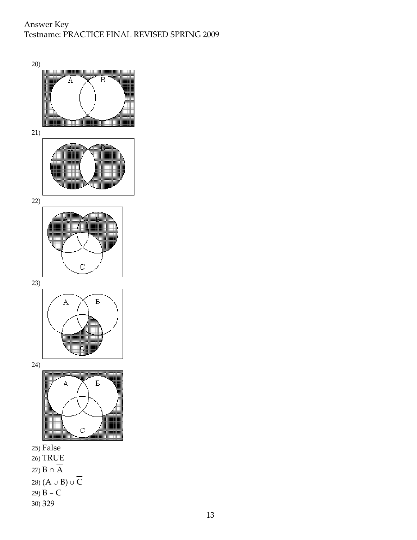## Answer Key Testname: PRACTICE FINAL REVISED SPRING 2009

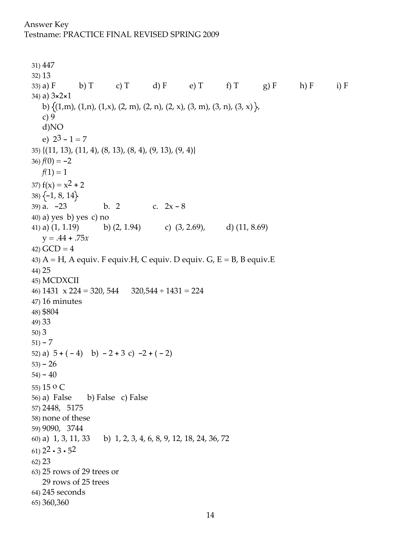## Answer Key Testname: PRACTICE FINAL REVISED SPRING 2009

31) 447 32) 13 33) a) F b) T c) T d) F e) T f) T g) F h) F i) F 34) a) 3×2×1 b)  $\{(1,m), (1,n), (1,x), (2, m), (2, n), (2, x), (3, m), (3, n), (3, x)\}$ c) 9 d)NO e)  $2^3 - 1 = 7$ 35) {(11, 13), (11, 4), (8, 13), (8, 4), (9, 13), (9, 4)} 36)  $f(0) = -2$  $f(1) = 1$ 37)  $f(x) = x^2 + 2$  $38)$  {-1, 8, 14} 39) a.  $-23$  b. 2 c.  $2x - 8$ 40) a) yes b) yes c) no 41) a)  $(1, 1.19)$  b)  $(2, 1.94)$  c)  $(3, 2.69)$ , d)  $(11, 8.69)$  $y = .44 + .75x$ 42)  $GCD = 4$ 43)  $A = H$ , A equiv. F equiv. H, C equiv. D equiv. G, E = B, B equiv. E 44) 25 45) MCDXCII 46)  $1431 \times 224 = 320, 544$   $320,544 \div 1431 = 224$ 47) 16 minutes 48) \$804 49) 33 50) 3  $51 - 7$ 52) a)  $5 + (-4)$  b)  $-2 + 3$  c)  $-2 + (-2)$  $(53) - 26$  $54) - 40$ 55) 15 o C 56) a) False b) False c) False 57) 2448, 5175 58) none of these 59) 9090, 3744 60) a) 1, 3, 11, 33 b) 1, 2, 3, 4, 6, 8, 9, 12, 18, 24, 36, 72 61)  $2^2 \cdot 3 \cdot 5^2$ 62) 23 63) 25 rows of 29 trees or 29 rows of 25 trees 64) 245 seconds 65) 360,360